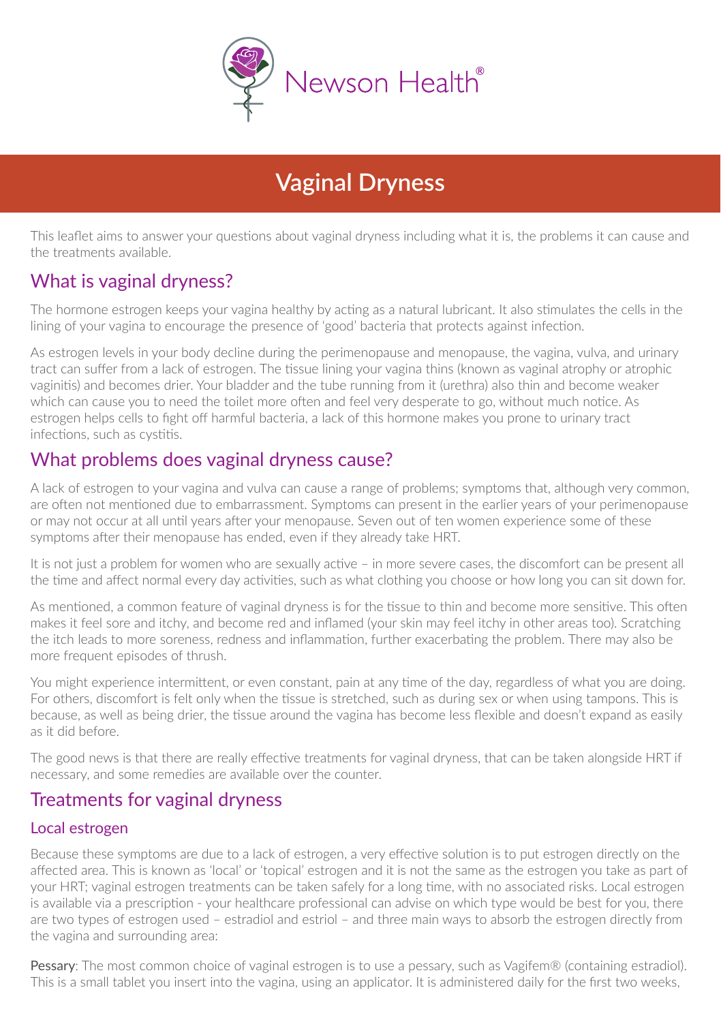

# **Vaginal Dryness**

This leaflet aims to answer your questions about vaginal dryness including what it is, the problems it can cause and the treatments available.

# What is vaginal dryness?

The hormone estrogen keeps your vagina healthy by acting as a natural lubricant. It also stimulates the cells in the lining of your vagina to encourage the presence of 'good' bacteria that protects against infection.

As estrogen levels in your body decline during the perimenopause and menopause, the vagina, vulva, and urinary tract can suffer from a lack of estrogen. The tissue lining your vagina thins (known as vaginal atrophy or atrophic vaginitis) and becomes drier. Your bladder and the tube running from it (urethra) also thin and become weaker which can cause you to need the toilet more often and feel very desperate to go, without much notice. As estrogen helps cells to fight off harmful bacteria, a lack of this hormone makes you prone to urinary tract infections, such as cystitis.

# What problems does vaginal dryness cause?

A lack of estrogen to your vagina and vulva can cause a range of problems; symptoms that, although very common, are often not mentioned due to embarrassment. Symptoms can present in the earlier years of your perimenopause or may not occur at all until years after your menopause. Seven out of ten women experience some of these symptoms after their menopause has ended, even if they already take HRT.

It is not just a problem for women who are sexually active – in more severe cases, the discomfort can be present all the time and affect normal every day activities, such as what clothing you choose or how long you can sit down for.

As mentioned, a common feature of vaginal dryness is for the tissue to thin and become more sensitive. This often makes it feel sore and itchy, and become red and inflamed (your skin may feel itchy in other areas too). Scratching the itch leads to more soreness, redness and inflammation, further exacerbating the problem. There may also be more frequent episodes of thrush.

You might experience intermittent, or even constant, pain at any time of the day, regardless of what you are doing. For others, discomfort is felt only when the tissue is stretched, such as during sex or when using tampons. This is because, as well as being drier, the tissue around the vagina has become less flexible and doesn't expand as easily as it did before.

The good news is that there are really effective treatments for vaginal dryness, that can be taken alongside HRT if necessary, and some remedies are available over the counter.

## Treatments for vaginal dryness

#### Local estrogen

Because these symptoms are due to a lack of estrogen, a very effective solution is to put estrogen directly on the affected area. This is known as 'local' or 'topical' estrogen and it is not the same as the estrogen you take as part of your HRT; vaginal estrogen treatments can be taken safely for a long time, with no associated risks. Local estrogen is available via a prescription - your healthcare professional can advise on which type would be best for you, there are two types of estrogen used – estradiol and estriol – and three main ways to absorb the estrogen directly from the vagina and surrounding area:

Pessary: The most common choice of vaginal estrogen is to use a pessary, such as Vagifem® (containing estradiol). This is a small tablet you insert into the vagina, using an applicator. It is administered daily for the first two weeks,